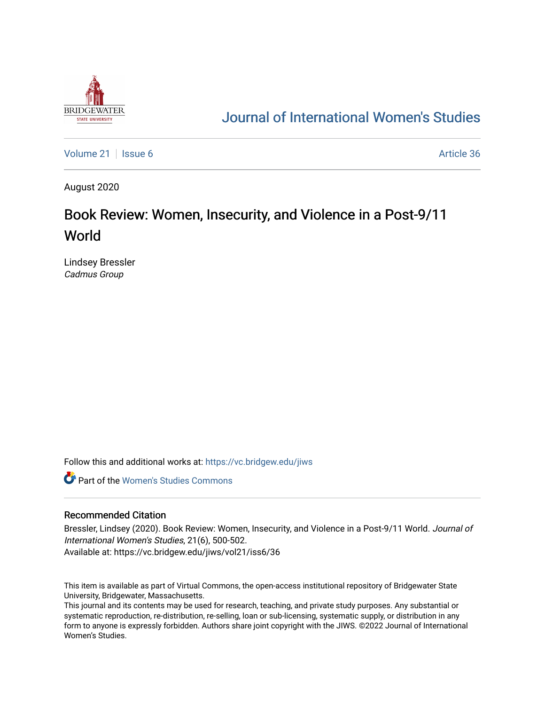

## [Journal of International Women's Studies](https://vc.bridgew.edu/jiws)

[Volume 21](https://vc.bridgew.edu/jiws/vol21) | [Issue 6](https://vc.bridgew.edu/jiws/vol21/iss6) Article 36

August 2020

# Book Review: Women, Insecurity, and Violence in a Post-9/11 World

Lindsey Bressler Cadmus Group

Follow this and additional works at: [https://vc.bridgew.edu/jiws](https://vc.bridgew.edu/jiws?utm_source=vc.bridgew.edu%2Fjiws%2Fvol21%2Fiss6%2F36&utm_medium=PDF&utm_campaign=PDFCoverPages)

**C** Part of the Women's Studies Commons

#### Recommended Citation

Bressler, Lindsey (2020). Book Review: Women, Insecurity, and Violence in a Post-9/11 World. Journal of International Women's Studies, 21(6), 500-502.

Available at: https://vc.bridgew.edu/jiws/vol21/iss6/36

This item is available as part of Virtual Commons, the open-access institutional repository of Bridgewater State University, Bridgewater, Massachusetts.

This journal and its contents may be used for research, teaching, and private study purposes. Any substantial or systematic reproduction, re-distribution, re-selling, loan or sub-licensing, systematic supply, or distribution in any form to anyone is expressly forbidden. Authors share joint copyright with the JIWS. ©2022 Journal of International Women's Studies.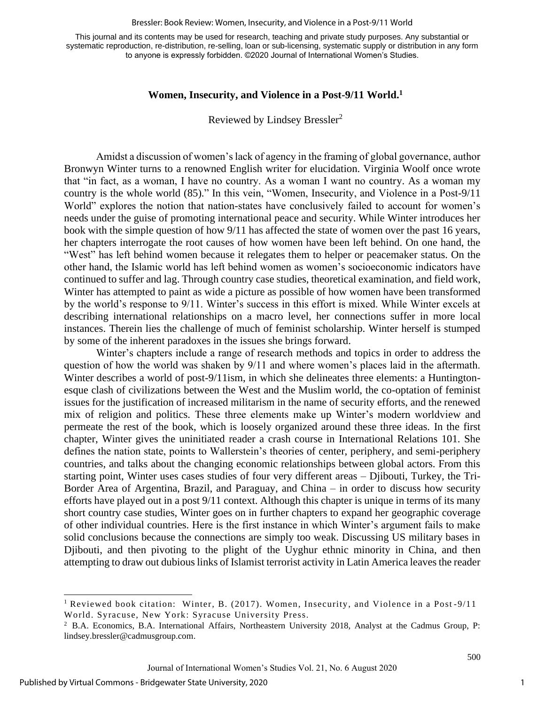#### Bressler: Book Review: Women, Insecurity, and Violence in a Post-9/11 World

This journal and its contents may be used for research, teaching and private study purposes. Any substantial or systematic reproduction, re-distribution, re-selling, loan or sub-licensing, systematic supply or distribution in any form to anyone is expressly forbidden. ©2020 Journal of International Women's Studies.

### **Women, Insecurity, and Violence in a Post-9/11 World. 1**

Reviewed by Lindsey Bressler<sup>2</sup>

Amidst a discussion of women's lack of agency in the framing of global governance, author Bronwyn Winter turns to a renowned English writer for elucidation. Virginia Woolf once wrote that "in fact, as a woman, I have no country. As a woman I want no country. As a woman my country is the whole world (85)." In this vein, "Women, Insecurity, and Violence in a Post-9/11 World" explores the notion that nation-states have conclusively failed to account for women's needs under the guise of promoting international peace and security. While Winter introduces her book with the simple question of how 9/11 has affected the state of women over the past 16 years, her chapters interrogate the root causes of how women have been left behind. On one hand, the "West" has left behind women because it relegates them to helper or peacemaker status. On the other hand, the Islamic world has left behind women as women's socioeconomic indicators have continued to suffer and lag. Through country case studies, theoretical examination, and field work, Winter has attempted to paint as wide a picture as possible of how women have been transformed by the world's response to 9/11. Winter's success in this effort is mixed. While Winter excels at describing international relationships on a macro level, her connections suffer in more local instances. Therein lies the challenge of much of feminist scholarship. Winter herself is stumped by some of the inherent paradoxes in the issues she brings forward.

Winter's chapters include a range of research methods and topics in order to address the question of how the world was shaken by 9/11 and where women's places laid in the aftermath. Winter describes a world of post-9/11ism, in which she delineates three elements: a Huntingtonesque clash of civilizations between the West and the Muslim world, the co-optation of feminist issues for the justification of increased militarism in the name of security efforts, and the renewed mix of religion and politics. These three elements make up Winter's modern worldview and permeate the rest of the book, which is loosely organized around these three ideas. In the first chapter, Winter gives the uninitiated reader a crash course in International Relations 101. She defines the nation state, points to Wallerstein's theories of center, periphery, and semi-periphery countries, and talks about the changing economic relationships between global actors. From this starting point, Winter uses cases studies of four very different areas – Djibouti, Turkey, the Tri-Border Area of Argentina, Brazil, and Paraguay, and China – in order to discuss how security efforts have played out in a post 9/11 context. Although this chapter is unique in terms of its many short country case studies, Winter goes on in further chapters to expand her geographic coverage of other individual countries. Here is the first instance in which Winter's argument fails to make solid conclusions because the connections are simply too weak. Discussing US military bases in Djibouti, and then pivoting to the plight of the Uyghur ethnic minority in China, and then attempting to draw out dubious links of Islamist terrorist activity in Latin America leaves the reader

500

<sup>&</sup>lt;sup>1</sup> Reviewed book citation: Winter, B. (2017). Women, Insecurity, and Violence in a Post-9/11 World. Syracuse, New York: Syracuse University Press.

<sup>&</sup>lt;sup>2</sup> B.A. Economics, B.A. International Affairs, Northeastern University 2018, Analyst at the Cadmus Group, P: [lindsey.bressler@cadmusgroup.com.](mailto:lindsey.bressler@cadmusgroup.com)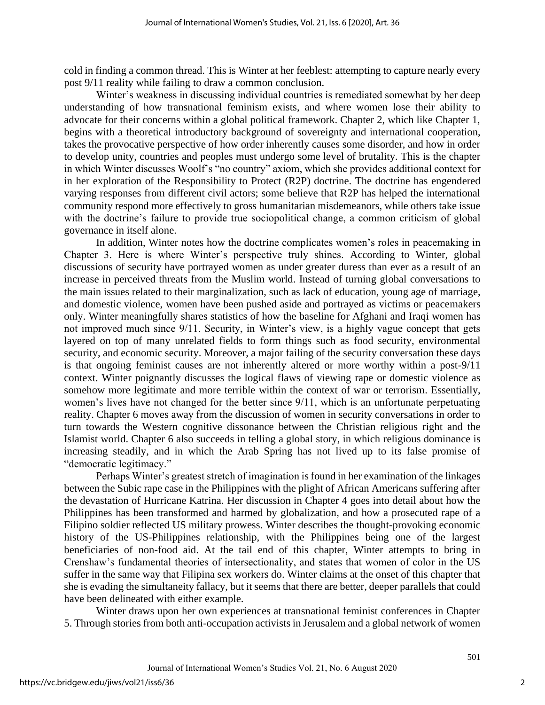cold in finding a common thread. This is Winter at her feeblest: attempting to capture nearly every post 9/11 reality while failing to draw a common conclusion.

Winter's weakness in discussing individual countries is remediated somewhat by her deep understanding of how transnational feminism exists, and where women lose their ability to advocate for their concerns within a global political framework. Chapter 2, which like Chapter 1, begins with a theoretical introductory background of sovereignty and international cooperation, takes the provocative perspective of how order inherently causes some disorder, and how in order to develop unity, countries and peoples must undergo some level of brutality. This is the chapter in which Winter discusses Woolf's "no country" axiom, which she provides additional context for in her exploration of the Responsibility to Protect (R2P) doctrine. The doctrine has engendered varying responses from different civil actors; some believe that R2P has helped the international community respond more effectively to gross humanitarian misdemeanors, while others take issue with the doctrine's failure to provide true sociopolitical change, a common criticism of global governance in itself alone.

In addition, Winter notes how the doctrine complicates women's roles in peacemaking in Chapter 3. Here is where Winter's perspective truly shines. According to Winter, global discussions of security have portrayed women as under greater duress than ever as a result of an increase in perceived threats from the Muslim world. Instead of turning global conversations to the main issues related to their marginalization, such as lack of education, young age of marriage, and domestic violence, women have been pushed aside and portrayed as victims or peacemakers only. Winter meaningfully shares statistics of how the baseline for Afghani and Iraqi women has not improved much since 9/11. Security, in Winter's view, is a highly vague concept that gets layered on top of many unrelated fields to form things such as food security, environmental security, and economic security. Moreover, a major failing of the security conversation these days is that ongoing feminist causes are not inherently altered or more worthy within a post-9/11 context. Winter poignantly discusses the logical flaws of viewing rape or domestic violence as somehow more legitimate and more terrible within the context of war or terrorism. Essentially, women's lives have not changed for the better since 9/11, which is an unfortunate perpetuating reality. Chapter 6 moves away from the discussion of women in security conversations in order to turn towards the Western cognitive dissonance between the Christian religious right and the Islamist world. Chapter 6 also succeeds in telling a global story, in which religious dominance is increasing steadily, and in which the Arab Spring has not lived up to its false promise of "democratic legitimacy."

Perhaps Winter's greatest stretch of imagination is found in her examination of the linkages between the Subic rape case in the Philippines with the plight of African Americans suffering after the devastation of Hurricane Katrina. Her discussion in Chapter 4 goes into detail about how the Philippines has been transformed and harmed by globalization, and how a prosecuted rape of a Filipino soldier reflected US military prowess. Winter describes the thought-provoking economic history of the US-Philippines relationship, with the Philippines being one of the largest beneficiaries of non-food aid. At the tail end of this chapter, Winter attempts to bring in Crenshaw's fundamental theories of intersectionality, and states that women of color in the US suffer in the same way that Filipina sex workers do. Winter claims at the onset of this chapter that she is evading the simultaneity fallacy, but it seems that there are better, deeper parallels that could have been delineated with either example.

Winter draws upon her own experiences at transnational feminist conferences in Chapter 5. Through stories from both anti-occupation activists in Jerusalem and a global network of women

501